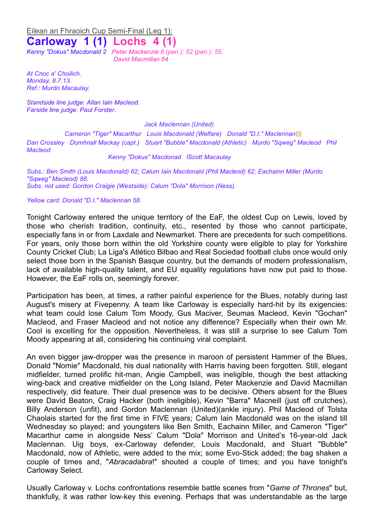### Eilean an Fhraoich Cup Semi-Final (Leg 1):

# **Carloway 1 (1) Lochs 4 (1)**

*Kenny "Dokus" Macdonald 2 Peter Mackenzie 8 (pen.); 52 (pen.); 55. David Macmillan 64*

*At Cnoc a' Choilich. Monday, 8.7.13. Ref.: Murdo Macaulay.*

*Standside line judge: Allan Iain Macleod. Farside line judge: Paul Forster*.

*Jack Maclennan (United)*

*Cameron "Tiger" Macarthur Louis Macdonald (Welfare) Donald "D.I." Maclennan*▩ *Dan Crossley Domhnall Mackay (capt.) Stuart "Bubble" Macdonald (Athletic) Murdo "Sqweg" Macleod Phil Macleod* 

#### *Kenny "Dokus" Macdonad lScott Macaulay*

*Subs.: Ben Smith (Louis Macdonald) 62; Calum Iain Macdonald (Phil Macleod) 62; Eachainn Miller (Murdo "Sqweg" Macleod) 88. Subs. not used: Gordon Craigie (Westside); Calum "Dola" Morrison (Ness).* 

#### *Yellow card: Donald "D.I." Maclennan 58.*

Tonight Carloway entered the unique territory of the EaF, the oldest Cup on Lewis, loved by those who cherish tradition, continuity, etc., resented by those who cannot participate, especially fans in or from Laxdale and Newmarket. There are precedents for such competitions. For years, only those born within the old Yorkshire county were eligible to play for Yorkshire County Cricket Club; La Liga's Atlético Bilbao and Real Sociedad football clubs once would only select those born in the Spanish Basque country, but the demands of modern professionalism, lack of available high-quality talent, and EU equality regulations have now put paid to those. However, the EaF rolls on, seemingly forever.

Participation has been, at times, a rather painful experience for the Blues, notably during last August's misery at Fivepenny. A team like Carloway is especially hard-hit by its exigencies: what team could lose Calum Tom Moody, Gus Maciver, Seumas Macleod, Kevin "Gochan" Macleod, and Fraser Macleod and not notice any difference? Especially when their own Mr. Cool is excelling for the opposition. Nevertheless, it was still a surprise to see Calum Tom Moody appearing at all, considering his continuing viral complaint.

An even bigger jaw-dropper was the presence in maroon of persistent Hammer of the Blues, Donald "Nomie" Macdonald, his dual nationality with Harris having been forgotten. Still, elegant midfielder, turned prolific hit-man, Angie Campbell, was ineligible, though the best attacking wing-back and creative midfielder on the Long Island, Peter Mackenzie and David Macmillan respectively, did feature. Their dual presence was to be decisive. Others absent for the Blues were David Beaton, Craig Hacker (both ineligible), Kevin "Barra" Macneill (just off crutches), Billy Anderson (unfit), and Gordon Maclennan (United)(ankle injury). Phil Macleod of Tolsta Chaolais started for the first time in FIVE years; Calum Iain Macdonald was on the island till Wednesday so played; and youngsters like Ben Smith, Eachainn Miller, and Cameron "Tiger" Macarthur came in alongside Ness' Calum "Dola" Morrison and United's 16-year-old Jack Maclennan. Uig boys, ex-Carloway defender, Louis Macdonald, and Stuart "Bubble" Macdonald, now of Athletic, were added to the mix; some Evo-Stick added; the bag shaken a couple of times and, "*Abracadabra*!" shouted a couple of times; and you have tonight's Carloway Select.

Usually Carloway v. Lochs confrontations resemble battle scenes from "*Game of Thrones*" but, thankfully, it was rather low-key this evening. Perhaps that was understandable as the large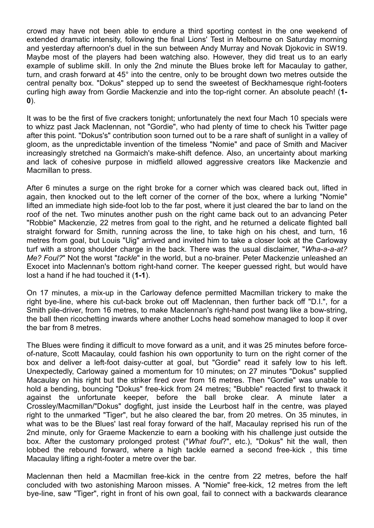crowd may have not been able to endure a third sporting contest in the one weekend of extended dramatic intensity, following the final Lions' Test in Melbourne on Saturday morning and yesterday afternoon's duel in the sun between Andy Murray and Novak Djokovic in SW19. Maybe most of the players had been watching also. However, they did treat us to an early example of sublime skill. In only the 2nd minute the Blues broke left for Macaulay to gather, turn, and crash forward at 45° into the centre, only to be brought down two metres outside the central penalty box. "Dokus" stepped up to send the sweetest of Beckhamesque right-footers curling high away from Gordie Mackenzie and into the top-right corner. An absolute peach! (**1- 0**).

It was to be the first of five crackers tonight; unfortunately the next four Mach 10 specials were to whizz past Jack Maclennan, not "Gordie", who had plenty of time to check his Twitter page after this point. "Dokus's" contribution soon turned out to be a rare shaft of sunlight in a valley of gloom, as the unpredictable invention of the timeless "Nomie" and pace of Smith and Maciver increasingly stretched na Gormaich's make-shift defence. Also, an uncertainty about marking and lack of cohesive purpose in midfield allowed aggressive creators like Mackenzie and Macmillan to press.

After 6 minutes a surge on the right broke for a corner which was cleared back out, lifted in again, then knocked out to the left corner of the corner of the box, where a lurking "Nomie" lifted an immediate high side-foot lob to the far post, where it just cleared the bar to land on the roof of the net. Two minutes another push on the right came back out to an advancing Peter "Robbie" Mackenzie, 22 metres from goal to the right, and he returned a delicate flighted ball straight forward for Smith, running across the line, to take high on his chest, and turn, 16 metres from goal, but Louis "Uig" arrived and invited him to take a closer look at the Carloway turf with a strong shoulder charge in the back. There was the usual disclaimer, "*Wha-a-a-at? Me? Foul?*" Not the worst "*tackle*" in the world, but a no-brainer. Peter Mackenzie unleashed an Exocet into Maclennan's bottom right-hand corner. The keeper guessed right, but would have lost a hand if he had touched it (**1-1**).

On 17 minutes, a mix-up in the Carloway defence permitted Macmillan trickery to make the right bye-line, where his cut-back broke out off Maclennan, then further back off "D.I.", for a Smith pile-driver, from 16 metres, to make Maclennan's right-hand post twang like a bow-string, the ball then ricochetting inwards where another Lochs head somehow managed to loop it over the bar from 8 metres.

The Blues were finding it difficult to move forward as a unit, and it was 25 minutes before forceof-nature, Scott Macaulay, could fashion his own opportunity to turn on the right corner of the box and deliver a left-foot daisy-cutter at goal, but "Gordie" read it safely low to his left. Unexpectedly, Carloway gained a momentum for 10 minutes; on 27 minutes "Dokus" supplied Macaulay on his right but the striker fired over from 16 metres. Then "Gordie" was unable to hold a bending, bouncing "Dokus" free-kick from 24 metres; "Bubble" reacted first to thwack it against the unfortunate keeper, before the ball broke clear. A minute later a Crossley/Macmillan/"Dokus" dogfight, just inside the Leurbost half in the centre, was played right to the unmarked "Tiger", but he also cleared the bar, from 20 metres. On 35 minutes, in what was to be the Blues' last real foray forward of the half, Macaulay reprised his run of the 2nd minute, only for Graeme Mackenzie to earn a booking with his challenge just outside the box. After the customary prolonged protest ("*What foul*?", etc.), "Dokus" hit the wall, then lobbed the rebound forward, where a high tackle earned a second free-kick , this time Macaulay lifting a right-footer a metre over the bar.

Maclennan then held a Macmillan free-kick in the centre from 22 metres, before the half concluded with two astonishing Maroon misses. A "Nomie" free-kick, 12 metres from the left bye-line, saw "Tiger", right in front of his own goal, fail to connect with a backwards clearance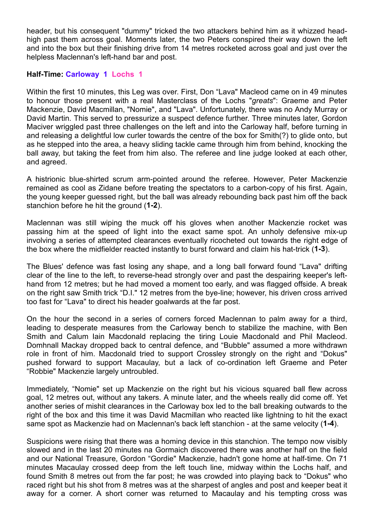header, but his consequent "dummy" tricked the two attackers behind him as it whizzed headhigh past them across goal. Moments later, the two Peters conspired their way down the left and into the box but their finishing drive from 14 metres rocketed across goal and just over the helpless Maclennan's left-hand bar and post.

## **Half-Time: Carloway 1 Lochs 1**

Within the first 10 minutes, this Leg was over. First, Don "Lava" Macleod came on in 49 minutes to honour those present with a real Masterclass of the Lochs "*greats*": Graeme and Peter Mackenzie, David Macmillan, "Nomie", and "Lava". Unfortunately, there was no Andy Murray or David Martin. This served to pressurize a suspect defence further. Three minutes later, Gordon Maciver wriggled past three challenges on the left and into the Carloway half, before turning in and releasing a delightful low curler towards the centre of the box for Smith(?) to glide onto, but as he stepped into the area, a heavy sliding tackle came through him from behind, knocking the ball away, but taking the feet from him also. The referee and line judge looked at each other, and agreed.

A histrionic blue-shirted scrum arm-pointed around the referee. However, Peter Mackenzie remained as cool as Zidane before treating the spectators to a carbon-copy of his first. Again, the young keeper guessed right, but the ball was already rebounding back past him off the back stanchion before he hit the ground (**1-2**).

Maclennan was still wiping the muck off his gloves when another Mackenzie rocket was passing him at the speed of light into the exact same spot. An unholy defensive mix-up involving a series of attempted clearances eventually ricocheted out towards the right edge of the box where the midfielder reacted instantly to burst forward and claim his hat-trick (**1-3**).

The Blues' defence was fast losing any shape, and a long ball forward found "Lava" drifting clear of the line to the left, to reverse-head strongly over and past the despairing keeper's lefthand from 12 metres; but he had moved a moment too early, and was flagged offside. A break on the right saw Smith trick "D.I." 12 metres from the bye-line; however, his driven cross arrived too fast for "Lava" to direct his header goalwards at the far post.

On the hour the second in a series of corners forced Maclennan to palm away for a third, leading to desperate measures from the Carloway bench to stabilize the machine, with Ben Smith and Calum Iain Macdonald replacing the tiring Louie Macdonald and Phil Macleod. Domhnall Mackay dropped back to central defence, and "Bubble" assumed a more withdrawn role in front of him. Macdonald tried to support Crossley strongly on the right and "Dokus" pushed forward to support Macaulay, but a lack of co-ordination left Graeme and Peter "Robbie" Mackenzie largely untroubled.

Immediately, "Nomie" set up Mackenzie on the right but his vicious squared ball flew across goal, 12 metres out, without any takers. A minute later, and the wheels really did come off. Yet another series of mishit clearances in the Carloway box led to the ball breaking outwards to the right of the box and this time it was David Macmillan who reacted like lightning to hit the exact same spot as Mackenzie had on Maclennan's back left stanchion - at the same velocity (**1-4**).

Suspicions were rising that there was a homing device in this stanchion. The tempo now visibly slowed and in the last 20 minutes na Gormaich discovered there was another half on the field and our National Treasure, Gordon "Gordie" Mackenzie, hadn't gone home at half-time. On 71 minutes Macaulay crossed deep from the left touch line, midway within the Lochs half, and found Smith 8 metres out from the far post; he was crowded into playing back to "Dokus" who raced right but his shot from 8 metres was at the sharpest of angles and post and keeper beat it away for a corner. A short corner was returned to Macaulay and his tempting cross was